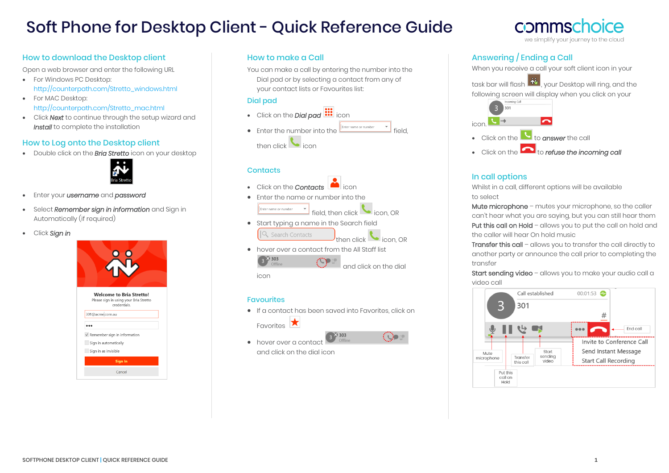# Soft Phone for Desktop Client - Quick Reference Guide

## How to download the Desktop client

Open a web browser and enter the following URL

- For Windows PC Desktop: [http://counterpath.com/Stretto\\_windows.html](http://counterpath.com/Stretto_windows.html)
- For MAC Desktop: [http://counterpath.com/Stretto\\_mac.html](http://counterpath.com/Stretto_mac.html)
- Click *Next* to continue through the setup wizard and *Install* to complete the installation

## How to Log onto the Desktop client

• Double click on the *Bria Stretto* icon on your desktop



- Enter your *username* and *password*
- Select *Remember sign in information* and Sign in Automatically (if required)
- Click *Sign in*



## How to make a Call

You can make a call by entering the number into the Dial pad or by selecting a contact from any of your contact lists or Favourites list:

#### Dial pad

• Click on the **Dial pad <b>iii** icon • Enter the number into the  $\left| \frac{f_{\text{inter name or number}}}{f_{\text{in}}} \right|$  field. then click  $\blacksquare$  icon

#### **Contacts**

• Click on the *Contacts* icon

• Enter the name or number into the <u>Enter name or number</u> field, then click  $\bigcup$  icon, OR

- Start typing a name in the Search field Q Search Contacts then click
- hover over a contact from the All Staff list  $-28303$ √‴n and click on the dial

icon

#### **Favourites**

• If a contact has been saved into Favorites, click on Favorites

**ISB 303** 

(Qo

• hover over a contact and click on the dial icon

# commsch we simplify your journey to the cloud

## Answering / Ending a Call

When you receive a call your soft client icon in your task bar will flash  $\frac{1}{100}$ , your Desktop will ring, and the following screen will display when you click on your icon. • Click on the **the conswer** the call • Click on the **the** *refuse the incoming call* 

## In call options

Whilst in a call, different options will be available to select

Mute microphone – mutes your microphone, so the caller can't hear what you are saying, but you can still hear them Put this call on Hold – allows you to put the call on hold and the caller will hear On hold music

Transfer this call - allows you to transfer the call directly to another party or announce the call prior to completing the transfer

Start sending video - allows you to make your audio call a video call

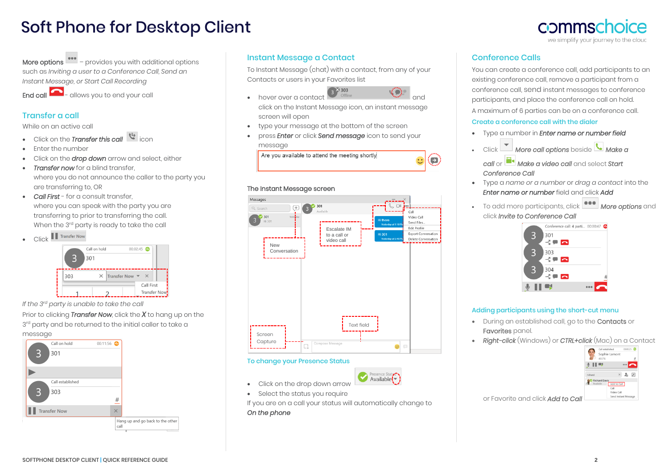# Soft Phone for Desktop Client

More options  $\left| \bullet \bullet \bullet \right|$  – provides you with additional options such as *Inviting a user to a Conference Call, Send an Instant Message, or Start Call Recording*

 $End$  call  $\Box$  - allows you to end your call

# Transfer a call

While on an active call

- **Click on the** *Transfer* this call
- Enter the number
- Click on the *drop down* arrow and select, either
- **Transfer now** for a blind transfer, where you do not announce the caller to the party you are transferring to, OR
- *Call First* for a consult transfer, where you can speak with the party you are transferring to prior to transferring the call. When the 3<sup>rd</sup> party is ready to take the call
- Click **I** Transfer Now



*If the 3rd party is unable to take the call*

Prior to clicking *Transfer Now*, click the *X* to hang up on the 3<sup>rd</sup> party and be returned to the initial caller to take a message



# Instant Message a Contact

To Instant Message (chat) with a contact, from any of your Contacts or users in your Favorites list  $-33333$ 



 $\left( \right)$ 

- hover over a contact and click on the Instant Message icon, an instant message
- screen will open
- type your message at the bottom of the screen
- press *Enter* or click *Send message* icon to send your message

Are you available to attend the meeting shortly

## The Instant Message screen



## To change your Presence Status

- Click on the drop down arrow
- Select the status you require

If you are on a call your status will automatically change to *On the phone* 

Presence State

# Conference Calls

You can create a conference call, add participants to an existing conference call, remove a participant from a conference call, send instant messages to conference participants, and place the conference call on hold. A maximum of 6 parties can be on a conference call.

## Create a conference call with the dialer

- Type a number in *Enter name or number field*
- Click *More call options* beside *Make a* 
	- *call* or *Make a video call* and select *Start Conference Call*
- Type a *name or a number* or *drag a contact* into the *Enter name or number* field and click *Add*
- To add more participants, click *More options* and click *Invite to Conference Call*



## Adding participants using the short-cut menu

- During an established call, go to the Contacts or Favorites panel.
- *Right-click* (Windows) or *CTRL+click* (Mac) on a Contact